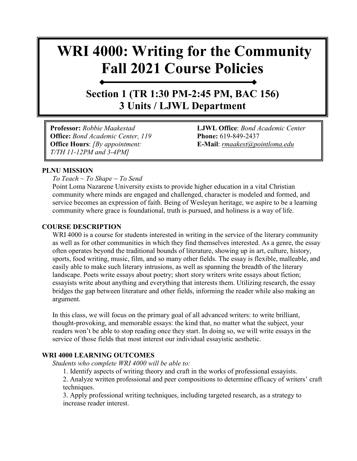# **WRI 4000: Writing for the Community Fall 2021 Course Policies**

### **Section 1 (TR 1:30 PM-2:45 PM, BAC 156) 3 Units / LJWL Department**

**Professor:** *Robbie Maakestad* **LJWL Office**: *Bond Academic Center*  **Office:** *Bond Academic Center, 119* **Phone:** 619-849-2437 **Office Hours**: *[By appointment:* **E-Mail**: *[rmaakest@pointloma.edu](mailto:rmaakest@pointloma.edu) T/TH 11-12PM and 3-4PM]*

#### **PLNU MISSION**

*To Teach ~ To Shape ~ To Send* 

Point Loma Nazarene University exists to provide higher education in a vital Christian community where minds are engaged and challenged, character is modeled and formed, and service becomes an expression of faith. Being of Wesleyan heritage, we aspire to be a learning community where grace is foundational, truth is pursued, and holiness is a way of life.

#### **COURSE DESCRIPTION**

WRI 4000 is a course for students interested in writing in the service of the literary community as well as for other communities in which they find themselves interested. As a genre, the essay often operates beyond the traditional bounds of literature, showing up in art, culture, history, sports, food writing, music, film, and so many other fields. The essay is flexible, malleable, and easily able to make such literary intrusions, as well as spanning the breadth of the literary landscape. Poets write essays about poetry; short story writers write essays about fiction; essayists write about anything and everything that interests them. Utilizing research, the essay bridges the gap between literature and other fields, informing the reader while also making an argument.

In this class, we will focus on the primary goal of all advanced writers: to write brilliant, thought-provoking, and memorable essays: the kind that, no matter what the subject, your readers won't be able to stop reading once they start. In doing so, we will write essays in the service of those fields that most interest our individual essayistic aesthetic.

#### **WRI 4000 LEARNING OUTCOMES**

*Students who complete WRI 4000 will be able to:* 

1. Identify aspects of writing theory and craft in the works of professional essayists.

2. Analyze written professional and peer compositions to determine efficacy of writers' craft techniques.

3. Apply professional writing techniques, including targeted research, as a strategy to increase reader interest.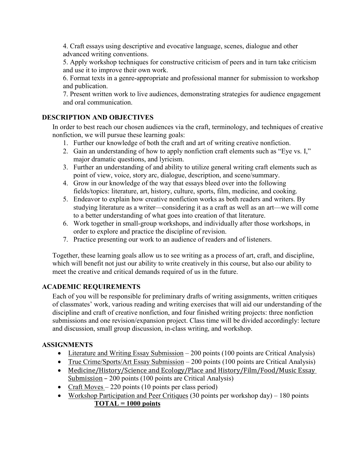4. Craft essays using descriptive and evocative language, scenes, dialogue and other advanced writing conventions.

5. Apply workshop techniques for constructive criticism of peers and in turn take criticism and use it to improve their own work.

6. Format texts in a genre-appropriate and professional manner for submission to workshop and publication.

7. Present written work to live audiences, demonstrating strategies for audience engagement and oral communication.

#### **DESCRIPTION AND OBJECTIVES**

In order to best reach our chosen audiences via the craft, terminology, and techniques of creative nonfiction, we will pursue these learning goals:

- 1. Further our knowledge of both the craft and art of writing creative nonfiction.
- 2. Gain an understanding of how to apply nonfiction craft elements such as "Eye vs. I," major dramatic questions, and lyricism.
- 3. Further an understanding of and ability to utilize general writing craft elements such as point of view, voice, story arc, dialogue, description, and scene/summary.
- 4. Grow in our knowledge of the way that essays bleed over into the following fields/topics: literature, art, history, culture, sports, film, medicine, and cooking.
- 5. Endeavor to explain how creative nonfiction works as both readers and writers. By studying literature as a writer—considering it as a craft as well as an art—we will come to a better understanding of what goes into creation of that literature.
- 6. Work together in small-group workshops, and individually after those workshops, in order to explore and practice the discipline of revision.
- 7. Practice presenting our work to an audience of readers and of listeners.

Together, these learning goals allow us to see writing as a process of art, craft, and discipline, which will benefit not just our ability to write creatively in this course, but also our ability to meet the creative and critical demands required of us in the future.

#### **ACADEMIC REQUIREMENTS**

Each of you will be responsible for preliminary drafts of writing assignments, written critiques of classmates' work, various reading and writing exercises that will aid our understanding of the discipline and craft of creative nonfiction, and four finished writing projects: three nonfiction submissions and one revision/expansion project. Class time will be divided accordingly: lecture and discussion, small group discussion, in-class writing, and workshop.

#### **ASSIGNMENTS**

- Literature and Writing Essay Submission 200 points (100 points are Critical Analysis)
- True Crime/Sports/Art Essay Submission 200 points (100 points are Critical Analysis)
- Medicine/History/Science and Ecology/Place and History/Film/Food/Music Essay Submission – 200 points (100 points are Critical Analysis)
- Craft Moves 220 points (10 points per class period)
- Workshop Participation and Peer Critiques (30 points per workshop day) 180 points **TOTAL = 1000 points**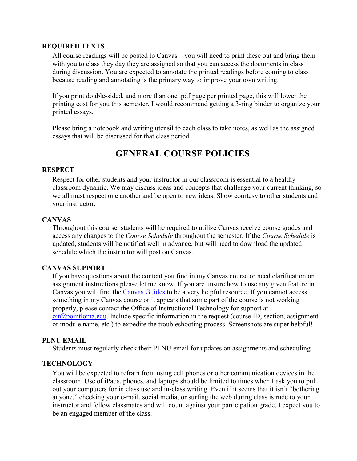#### **REQUIRED TEXTS**

All course readings will be posted to Canvas—you will need to print these out and bring them with you to class they day they are assigned so that you can access the documents in class during discussion. You are expected to annotate the printed readings before coming to class because reading and annotating is the primary way to improve your own writing.

If you print double-sided, and more than one .pdf page per printed page, this will lower the printing cost for you this semester. I would recommend getting a 3-ring binder to organize your printed essays.

Please bring a notebook and writing utensil to each class to take notes, as well as the assigned essays that will be discussed for that class period.

### **GENERAL COURSE POLICIES**

#### **RESPECT**

Respect for other students and your instructor in our classroom is essential to a healthy classroom dynamic. We may discuss ideas and concepts that challenge your current thinking, so we all must respect one another and be open to new ideas. Show courtesy to other students and your instructor.

#### **CANVAS**

Throughout this course, students will be required to utilize Canvas receive course grades and access any changes to the *Course Schedule* throughout the semester. If the *Course Schedule* is updated, students will be notified well in advance, but will need to download the updated schedule which the instructor will post on Canvas.

#### **CANVAS SUPPORT**

If you have questions about the content you find in my Canvas course or need clarification on assignment instructions please let me know. If you are unsure how to use any given feature in Canvas you will find the [Canvas Guides](https://community.canvaslms.com/community/answers/guides/) to be a very helpful resource. If you cannot access something in my Canvas course or it appears that some part of the course is not working properly, please contact the Office of Instructional Technology for support at  $oit(\omega)$  pointloma.edu. Include specific information in the request (course ID, section, assignment or module name, etc.) to expedite the troubleshooting process. Screenshots are super helpful!

#### **PLNU EMAIL**

Students must regularly check their PLNU email for updates on assignments and scheduling.

#### **TECHNOLOGY**

You will be expected to refrain from using cell phones or other communication devices in the classroom. Use of iPads, phones, and laptops should be limited to times when I ask you to pull out your computers for in class use and in-class writing. Even if it seems that it isn't "bothering anyone," checking your e-mail, social media, or surfing the web during class is rude to your instructor and fellow classmates and will count against your participation grade. I expect you to be an engaged member of the class.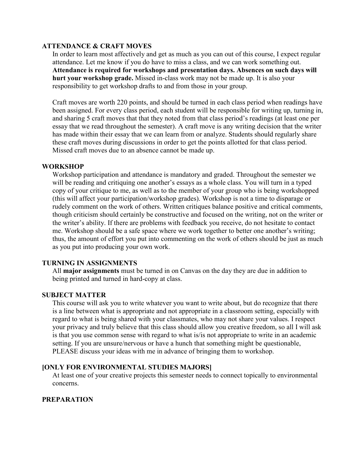#### **ATTENDANCE & CRAFT MOVES**

In order to learn most affectively and get as much as you can out of this course, I expect regular attendance. Let me know if you do have to miss a class, and we can work something out. **Attendance is required for workshops and presentation days. Absences on such days will hurt your workshop grade.** Missed in-class work may not be made up. It is also your responsibility to get workshop drafts to and from those in your group.

Craft moves are worth 220 points, and should be turned in each class period when readings have been assigned. For every class period, each student will be responsible for writing up, turning in, and sharing 5 craft moves that that they noted from that class period's readings (at least one per essay that we read throughout the semester). A craft move is any writing decision that the writer has made within their essay that we can learn from or analyze. Students should regularly share these craft moves during discussions in order to get the points allotted for that class period. Missed craft moves due to an absence cannot be made up.

#### **WORKSHOP**

Workshop participation and attendance is mandatory and graded. Throughout the semester we will be reading and critiquing one another's essays as a whole class. You will turn in a typed copy of your critique to me, as well as to the member of your group who is being workshopped (this will affect your participation/workshop grades). Workshop is not a time to disparage or rudely comment on the work of others. Written critiques balance positive and critical comments, though criticism should certainly be constructive and focused on the writing, not on the writer or the writer's ability. If there are problems with feedback you receive, do not hesitate to contact me. Workshop should be a safe space where we work together to better one another's writing; thus, the amount of effort you put into commenting on the work of others should be just as much as you put into producing your own work.

#### **TURNING IN ASSIGNMENTS**

All **major assignments** must be turned in on Canvas on the day they are due in addition to being printed and turned in hard-copy at class.

#### **SUBJECT MATTER**

This course will ask you to write whatever you want to write about, but do recognize that there is a line between what is appropriate and not appropriate in a classroom setting, especially with regard to what is being shared with your classmates, who may not share your values. I respect your privacy and truly believe that this class should allow you creative freedom, so all I will ask is that you use common sense with regard to what is/is not appropriate to write in an academic setting. If you are unsure/nervous or have a hunch that something might be questionable, PLEASE discuss your ideas with me in advance of bringing them to workshop.

#### **[ONLY FOR ENVIRONMENTAL STUDIES MAJORS]**

At least one of your creative projects this semester needs to connect topically to environmental concerns.

#### **PREPARATION**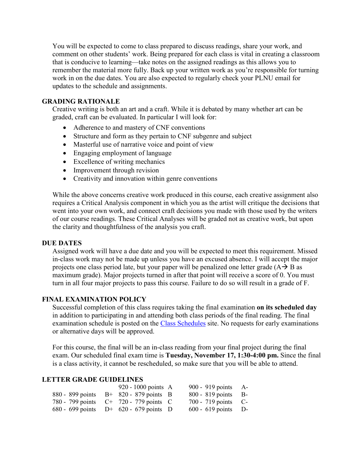You will be expected to come to class prepared to discuss readings, share your work, and comment on other students' work. Being prepared for each class is vital in creating a classroom that is conducive to learning—take notes on the assigned readings as this allows you to remember the material more fully. Back up your written work as you're responsible for turning work in on the due dates. You are also expected to regularly check your PLNU email for updates to the schedule and assignments.

#### **GRADING RATIONALE**

Creative writing is both an art and a craft. While it is debated by many whether art can be graded, craft can be evaluated. In particular I will look for:

- Adherence to and mastery of CNF conventions
- Structure and form as they pertain to CNF subgenre and subject
- Masterful use of narrative voice and point of view
- Engaging employment of language
- Excellence of writing mechanics
- Improvement through revision
- Creativity and innovation within genre conventions

While the above concerns creative work produced in this course, each creative assignment also requires a Critical Analysis component in which you as the artist will critique the decisions that went into your own work, and connect craft decisions you made with those used by the writers of our course readings. These Critical Analyses will be graded not as creative work, but upon the clarity and thoughtfulness of the analysis you craft.

#### **DUE DATES**

Assigned work will have a due date and you will be expected to meet this requirement. Missed in-class work may not be made up unless you have an excused absence. I will accept the major projects one class period late, but your paper will be penalized one letter grade  $(A \rightarrow B$  as maximum grade). Major projects turned in after that point will receive a score of 0. You must turn in all four major projects to pass this course. Failure to do so will result in a grade of F.

#### **FINAL EXAMINATION POLICY**

Successful completion of this class requires taking the final examination **on its scheduled day** in addition to participating in and attending both class periods of the final reading. The final examination schedule is posted on the [Class Schedules](http://www.pointloma.edu/experience/academics/class-schedules) site. No requests for early examinations or alternative days will be approved.

For this course, the final will be an in-class reading from your final project during the final exam. Our scheduled final exam time is **Tuesday, November 17, 1:30-4:00 pm.** Since the final is a class activity, it cannot be rescheduled, so make sure that you will be able to attend.

#### **LETTER GRADE GUIDELINES**

|  | 920 - 1000 points $\,$ A                  | 900 - 919 points $A-$ |  |
|--|-------------------------------------------|-----------------------|--|
|  | 880 - 899 points $B+820-879$ points B     | $800 - 819$ points B- |  |
|  | 780 - 799 points $C^+$ 720 - 779 points C | 700 - 719 points $C-$ |  |
|  | 680 - 699 points $D^+$ 620 - 679 points D | $600 - 619$ points D- |  |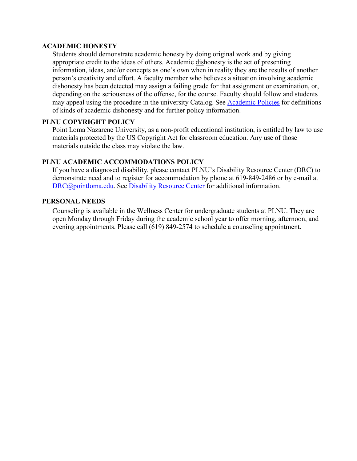#### **ACADEMIC HONESTY**

Students should demonstrate academic honesty by doing original work and by giving appropriate credit to the ideas of others. Academic dishonesty is the act of presenting information, ideas, and/or concepts as one's own when in reality they are the results of another person's creativity and effort. A faculty member who believes a situation involving academic dishonesty has been detected may assign a failing grade for that assignment or examination, or, depending on the seriousness of the offense, for the course. Faculty should follow and students may appeal using the procedure in the university Catalog. See [Academic Policies](http://catalog.pointloma.edu/content.php?catoid=18&navoid=1278) for definitions of kinds of academic dishonesty and for further policy information.

#### **PLNU COPYRIGHT POLICY**

Point Loma Nazarene University, as a non-profit educational institution, is entitled by law to use materials protected by the US Copyright Act for classroom education. Any use of those materials outside the class may violate the law.

#### **PLNU ACADEMIC ACCOMMODATIONS POLICY**

If you have a diagnosed disability, please contact PLNU's Disability Resource Center (DRC) to demonstrate need and to register for accommodation by phone at 619-849-2486 or by e-mail at [DRC@pointloma.edu.](mailto:DRC@pointloma.edu) See [Disability Resource Center](http://www.pointloma.edu/experience/offices/administrative-offices/academic-advising-office/disability-resource-center) for additional information.

#### **PERSONAL NEEDS**

Counseling is available in the Wellness Center for undergraduate students at PLNU. They are open Monday through Friday during the academic school year to offer morning, afternoon, and evening appointments. Please call (619) 849-2574 to schedule a counseling appointment.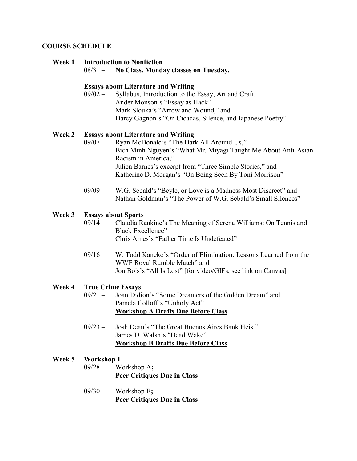#### **COURSE SCHEDULE**

#### **Week 1 Introduction to Nonfiction**

08/31 – **No Class. Monday classes on Tuesday.** 

#### **Essays about Literature and Writing**

09/02 – Syllabus, Introduction to the Essay, Art and Craft. Ander Monson's "Essay as Hack" Mark Slouka's "Arrow and Wound," and Darcy Gagnon's "On Cicadas, Silence, and Japanese Poetry"

#### **Week 2 Essays about Literature and Writing**

- 09/07 Ryan McDonald's "The Dark All Around Us," Bich Minh Nguyen's "What Mr. Miyagi Taught Me About Anti-Asian Racism in America," Julien Barnes's excerpt from "Three Simple Stories," and Katherine D. Morgan's "On Being Seen By Toni Morrison"
- 09/09 W.G. Sebald's "Beyle, or Love is a Madness Most Discreet" and Nathan Goldman's "The Power of W.G. Sebald's Small Silences"

## **Week 3 Essays about Sports**

- Claudia Rankine's The Meaning of Serena Williams: On Tennis and Black Excellence" Chris Ames's "Father Time Is Undefeated"
- 09/16 W. Todd Kaneko's "Order of Elimination: Lessons Learned from the WWF Royal Rumble Match" and Jon Bois's "All Is Lost" [for video/GIFs, see link on Canvas]

## **Week 4 True Crime Essays**

- Joan Didion's "Some Dreamers of the Golden Dream" and Pamela Colloff's "Unholy Act" **Workshop A Drafts Due Before Class**
- 09/23 Josh Dean's "The Great Buenos Aires Bank Heist" James D. Walsh's "Dead Wake" **Workshop B Drafts Due Before Class**

#### **Week 5 Workshop 1**

- 09/28 Workshop A**; Peer Critiques Due in Class**
- 09/30 Workshop B**; Peer Critiques Due in Class**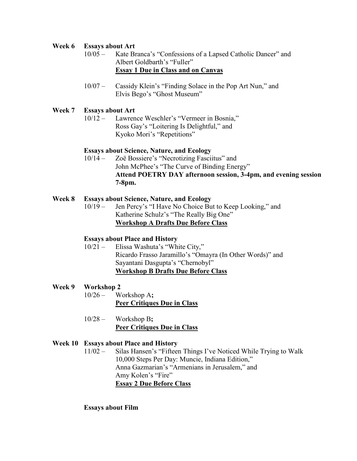#### **Week 6 Essays about Art**

- 10/05 Kate Branca's "Confessions of a Lapsed Catholic Dancer" and Albert Goldbarth's "Fuller" **Essay 1 Due in Class and on Canvas**
- 10/07 Cassidy Klein's "Finding Solace in the Pop Art Nun," and Elvis Bego's "Ghost Museum"

#### **Week 7 Essays about Art**

10/12 – Lawrence Weschler's "Vermeer in Bosnia," Ross Gay's "Loitering Is Delightful," and Kyoko Mori's "Repetitions"

#### **Essays about Science, Nature, and Ecology**

10/14 – Zoë Bossiere's "Necrotizing Fasciitus" and John McPhee's "The Curve of Binding Energy" **Attend POETRY DAY afternoon session, 3-4pm, and evening session 7-8pm.** 

#### **Week 8 Essays about Science, Nature, and Ecology**

10/19 – Jen Percy's "I Have No Choice But to Keep Looking," and Katherine Schulz's "The Really Big One" **Workshop A Drafts Due Before Class**

#### **Essays about Place and History**

10/21 – Elissa Washuta's "White City," Ricardo Frasso Jaramillo's "Omayra (In Other Words)" and Sayantani Dasgupta's "Chernobyl" **Workshop B Drafts Due Before Class**

#### **Week 9 Workshop 2**

- 10/26 Workshop A**; Peer Critiques Due in Class**
- 10/28 Workshop B**; Peer Critiques Due in Class**

#### **Week 10 Essays about Place and History**

11/02 – Silas Hansen's "Fifteen Things I've Noticed While Trying to Walk 10,000 Steps Per Day: Muncie, Indiana Edition," Anna Gazmarian's "Armenians in Jerusalem," and Amy Kolen's "Fire" **Essay 2 Due Before Class**

#### **Essays about Film**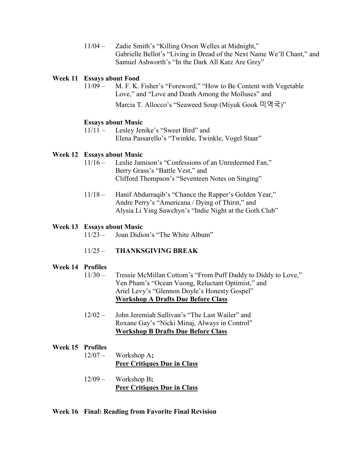11/04 – Zadie Smith's "Killing Orson Welles at Midnight," Gabrielle Bellot's "Living in Dread of the Next Name We'll Chant," and Samuel Ashworth's "In the Dark All Katz Are Grey"

#### **Week 11 Essays about Food**

11/09 – M. F. K. Fisher's "Foreword," "How to Be Content with Vegetable Love," and "Love and Death Among the Molluscs" and

Marcia T. Allocco's "Seaweed Soup (Miyuk Gook 미역국)"

#### **Essays about Music**

11/11 – Lesley Jenike's "Sweet Bird" and Elena Passarello's "Twinkle, Twinkle, Vogel Staar"

#### **Week 12 Essays about Music**

- 11/16 Leslie Jamison's "Confessions of an Unredeemed Fan," Berry Grass's "Battle Vest," and Clifford Thompson's "Seventeen Notes on Singing"
- 11/18 Hanif Abdurraqib's "Chance the Rapper's Golden Year," Andre Perry's "Americana / Dying of Thirst," and Alysia Li Ying Sawchyn's "Indie Night at the Goth Club"

#### **Week 13 Essays about Music**

11/23 – Joan Didion's "The White Album"

#### 11/25 – **THANKSGIVING BREAK**

#### **Week 14 Profiles**

- 11/30 Tressie McMillan Cottom's "From Puff Daddy to Diddy to Love," Yen Pham's "Ocean Vuong, Reluctant Optimist," and Ariel Levy's "Glennon Doyle's Honesty Gospel" **Workshop A Drafts Due Before Class**
- 12/02 John Jeremiah Sullivan's "The Last Wailer" and Roxane Gay's "Nicki Minaj, Always in Control" **Workshop B Drafts Due Before Class**

#### **Week 15 Profiles**

- 12/07 Workshop A**; Peer Critiques Due in Class**
- 12/09 Workshop B**; Peer Critiques Due in Class**

#### **Week 16 Final: Reading from Favorite Final Revision**